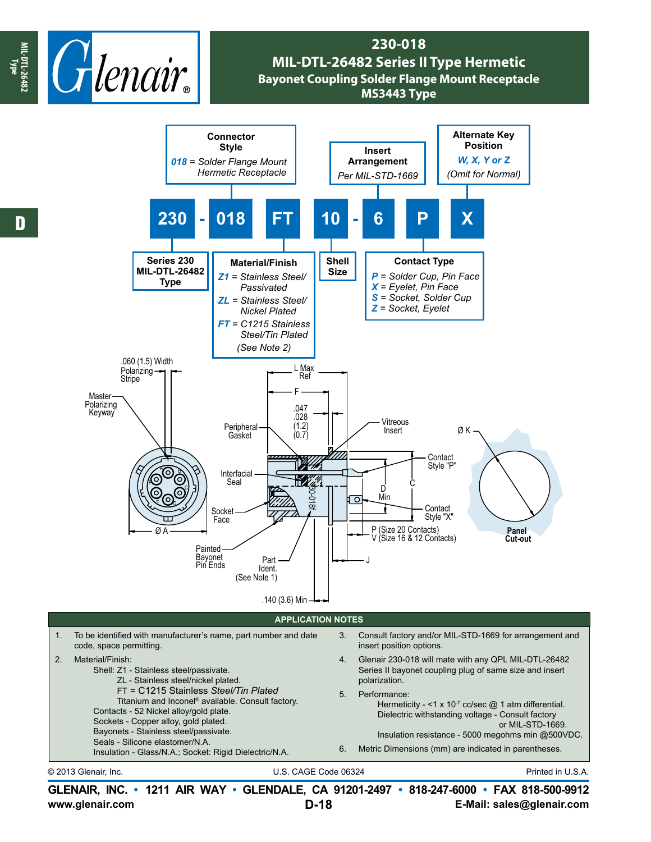

## **230-018 MIL-DTL-26482 Series II Type Hermetic Bayonet Coupling Solder Flange Mount Receptacle MS3443 Type**



Hermeticity - <1 x 10 $<sup>7</sup>$  cc/sec  $@$  1 atm differential.</sup> Dielectric withstanding voltage - Consult factory or MIL-STD-1669. Insulation resistance - 5000 megohms min @500VDC.

6. Metric Dimensions (mm) are indicated in parentheses.

Contacts - 52 Nickel alloy/gold plate. Sockets - Copper alloy, gold plated. Bayonets - Stainless steel/passivate. Seals - Silicone elastomer/N.A.

Insulation - Glass/N.A.; Socket: Rigid Dielectric/N.A.

© 2013 Glenair, Inc. U.S. CAGE Code 06324 Printed in U.S.A.

**www.glenair.com E-Mail: sales@glenair.com GLENAIR, INC. • 1211 AIR WAY • GLENDALE, CA 91201-2497 • 818-247-6000 • FAX 818-500-9912 D-18**

**Type**